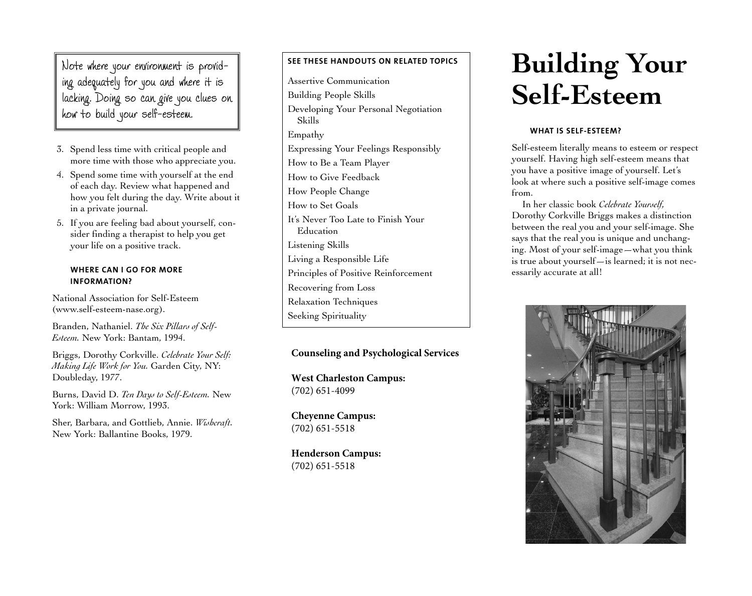Note where your environment is provid ing adequately for you and where it is lacking. Doing so can give you clues on how to build your self-esteem.

- 3. Spend less time with critical people and more time with those who appreciate you.
- 4. Spend some time with yourself at the end of each day. Review what happened and how you felt during the day. Write about it in a private journal.
- 5. If you are feeling bad about yourself, consider finding a therapist to help you get your life on a positive track.

## **WHERE CAN I GO FOR MORE INFORMATION?**

National Association for Self-Esteem (<www.self-esteem-nase.org>).

Branden, Nathaniel. *The Six Pillars of Self-Esteem.* New York: Bantam, 1994.

Briggs, Dorothy Corkville. *Celebrate Your Self: Making Life Work for You.* Garden City, NY: Doubleday, 1977.

Burns, David D. *Ten Days to Self-Esteem.* New York: William Morrow, 1993.

Sher, Barbara, and Gottlieb, Annie. *Wishcraft.*  New York: Ballantine Books, 1979.

# **SEE THESE HANDOUTS ON RELATED TOPICS**

Assertive Communication Building People Skills Developing Your Personal Negotiation Skills Empathy Expressing Your Feelings Responsibly How to Be a Team Player How to Give Feedback How People Change How to Set Goals It's Never Too Late to Finish Your Education Listening Skills Living a Responsible Life Principles of Positive Reinforcement Recovering from Loss Relaxation Techniques Seeking Spirituality

# **Counseling and Psychological Services**

**West Charleston Campus:** (702) 651-4099

**Cheyenne Campus:** (702) 651-5518

**Henderson Campus:** (702) 651-5518

# **Building Your Self-Esteem**

# **WHAT IS SELF-ESTEEM?**

Self-esteem literally means to esteem or respect yourself. Having high self-esteem means that you have a positive image of yourself. Let's look at where such a positive self-image comes from.

In her classic book *Celebrate Yourself,*  Dorothy Corkville Briggs makes a distinction between the real you and your self-image. She says that the real you is unique and unchanging. Most of your self-image—what you think is true about yourself—is learned; it is not necessarily accurate at all!